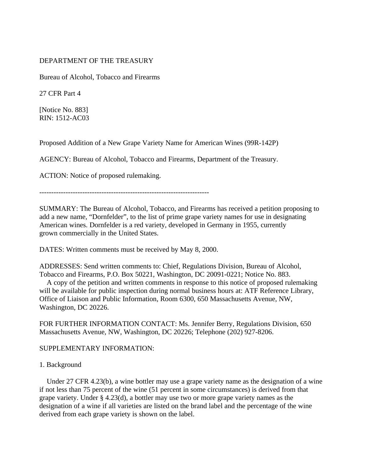# DEPARTMENT OF THE TREASURY

Bureau of Alcohol, Tobacco and Firearms

27 CFR Part 4

[Notice No. 883] RIN: 1512-AC03

Proposed Addition of a New Grape Variety Name for American Wines (99R-142P)

AGENCY: Bureau of Alcohol, Tobacco and Firearms, Department of the Treasury.

ACTION: Notice of proposed rulemaking.

-----------------------------------------------------------------------

SUMMARY: The Bureau of Alcohol, Tobacco, and Firearms has received a petition proposing to add a new name, "Dornfelder", to the list of prime grape variety names for use in designating American wines. Dornfelder is a red variety, developed in Germany in 1955, currently grown commercially in the United States.

DATES: Written comments must be received by May 8, 2000.

ADDRESSES: Send written comments to: Chief, Regulations Division, Bureau of Alcohol, Tobacco and Firearms, P.O. Box 50221, Washington, DC 20091-0221; Notice No. 883.

 A copy of the petition and written comments in response to this notice of proposed rulemaking will be available for public inspection during normal business hours at: ATF Reference Library, Office of Liaison and Public Information, Room 6300, 650 Massachusetts Avenue, NW, Washington, DC 20226.

FOR FURTHER INFORMATION CONTACT: Ms. Jennifer Berry, Regulations Division, 650 Massachusetts Avenue, NW, Washington, DC 20226; Telephone (202) 927-8206.

## SUPPLEMENTARY INFORMATION:

## 1. Background

 Under 27 CFR 4.23(b), a wine bottler may use a grape variety name as the designation of a wine if not less than 75 percent of the wine (51 percent in some circumstances) is derived from that grape variety. Under § 4.23(d), a bottler may use two or more grape variety names as the designation of a wine if all varieties are listed on the brand label and the percentage of the wine derived from each grape variety is shown on the label.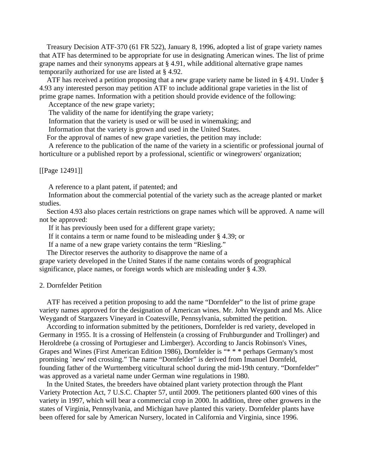Treasury Decision ATF-370 (61 FR 522), January 8, 1996, adopted a list of grape variety names that ATF has determined to be appropriate for use in designating American wines. The list of prime grape names and their synonyms appears at § 4.91, while additional alternative grape names temporarily authorized for use are listed at § 4.92.

 ATF has received a petition proposing that a new grape variety name be listed in § 4.91. Under § 4.93 any interested person may petition ATF to include additional grape varieties in the list of prime grape names. Information with a petition should provide evidence of the following:

Acceptance of the new grape variety;

The validity of the name for identifying the grape variety;

Information that the variety is used or will be used in winemaking; and

Information that the variety is grown and used in the United States.

For the approval of names of new grape varieties, the petition may include:

 A reference to the publication of the name of the variety in a scientific or professional journal of horticulture or a published report by a professional, scientific or winegrowers' organization;

[[Page 12491]]

A reference to a plant patent, if patented; and

 Information about the commercial potential of the variety such as the acreage planted or market studies.

 Section 4.93 also places certain restrictions on grape names which will be approved. A name will not be approved:

If it has previously been used for a different grape variety;

If it contains a term or name found to be misleading under § 4.39; or

If a name of a new grape variety contains the term "Riesling."

The Director reserves the authority to disapprove the name of a

grape variety developed in the United States if the name contains words of geographical significance, place names, or foreign words which are misleading under § 4.39.

#### 2. Dornfelder Petition

 ATF has received a petition proposing to add the name "Dornfelder" to the list of prime grape variety names approved for the designation of American wines. Mr. John Weygandt and Ms. Alice Weygandt of Stargazers Vineyard in Coatesville, Pennsylvania, submitted the petition.

 According to information submitted by the petitioners, Dornfelder is red variety, developed in Germany in 1955. It is a crossing of Helfenstein (a crossing of Fruhburgunder and Trollinger) and Heroldrebe (a crossing of Portugieser and Limberger). According to Jancis Robinson's Vines, Grapes and Wines (First American Edition 1986), Dornfelder is "\* \* \* perhaps Germany's most promising `new' red crossing." The name "Dornfelder" is derived from Imanuel Dornfeld, founding father of the Wurttemberg viticultural school during the mid-19th century. "Dornfelder" was approved as a varietal name under German wine regulations in 1980.

 In the United States, the breeders have obtained plant variety protection through the Plant Variety Protection Act, 7 U.S.C. Chapter 57, until 2009. The petitioners planted 600 vines of this variety in 1997, which will bear a commercial crop in 2000. In addition, three other growers in the states of Virginia, Pennsylvania, and Michigan have planted this variety. Dornfelder plants have been offered for sale by American Nursery, located in California and Virginia, since 1996.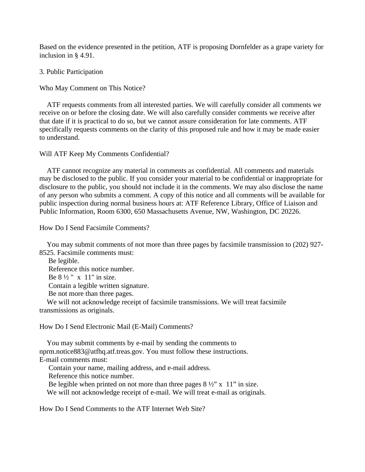Based on the evidence presented in the petition, ATF is proposing Dornfelder as a grape variety for inclusion in § 4.91.

## 3. Public Participation

Who May Comment on This Notice?

 ATF requests comments from all interested parties. We will carefully consider all comments we receive on or before the closing date. We will also carefully consider comments we receive after that date if it is practical to do so, but we cannot assure consideration for late comments. ATF specifically requests comments on the clarity of this proposed rule and how it may be made easier to understand.

## Will ATF Keep My Comments Confidential?

 ATF cannot recognize any material in comments as confidential. All comments and materials may be disclosed to the public. If you consider your material to be confidential or inappropriate for disclosure to the public, you should not include it in the comments. We may also disclose the name of any person who submits a comment. A copy of this notice and all comments will be available for public inspection during normal business hours at: ATF Reference Library, Office of Liaison and Public Information, Room 6300, 650 Massachusetts Avenue, NW, Washington, DC 20226.

How Do I Send Facsimile Comments?

 You may submit comments of not more than three pages by facsimile transmission to (202) 927- 8525. Facsimile comments must:

 Be legible. Reference this notice number. Be  $8\frac{1}{2}$  " x 11" in size. Contain a legible written signature. Be not more than three pages.

 We will not acknowledge receipt of facsimile transmissions. We will treat facsimile transmissions as originals.

How Do I Send Electronic Mail (E-Mail) Comments?

 You may submit comments by e-mail by sending the comments to nprm.notice883@atfhq.atf.treas.gov. You must follow these instructions. E-mail comments must:

Contain your name, mailing address, and e-mail address.

Reference this notice number.

Be legible when printed on not more than three pages  $8\frac{1}{2}$ " x 11" in size. We will not acknowledge receipt of e-mail. We will treat e-mail as originals.

How Do I Send Comments to the ATF Internet Web Site?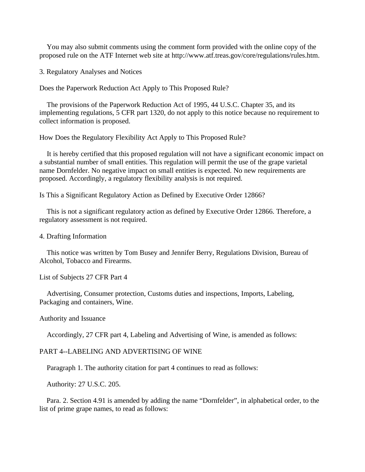You may also submit comments using the comment form provided with the online copy of the proposed rule on the ATF Internet web site at http://www.atf.treas.gov/core/regulations/rules.htm.

3. Regulatory Analyses and Notices

Does the Paperwork Reduction Act Apply to This Proposed Rule?

 The provisions of the Paperwork Reduction Act of 1995, 44 U.S.C. Chapter 35, and its implementing regulations, 5 CFR part 1320, do not apply to this notice because no requirement to collect information is proposed.

How Does the Regulatory Flexibility Act Apply to This Proposed Rule?

 It is hereby certified that this proposed regulation will not have a significant economic impact on a substantial number of small entities. This regulation will permit the use of the grape varietal name Dornfelder. No negative impact on small entities is expected. No new requirements are proposed. Accordingly, a regulatory flexibility analysis is not required.

Is This a Significant Regulatory Action as Defined by Executive Order 12866?

 This is not a significant regulatory action as defined by Executive Order 12866. Therefore, a regulatory assessment is not required.

#### 4. Drafting Information

 This notice was written by Tom Busey and Jennifer Berry, Regulations Division, Bureau of Alcohol, Tobacco and Firearms.

List of Subjects 27 CFR Part 4

 Advertising, Consumer protection, Customs duties and inspections, Imports, Labeling, Packaging and containers, Wine.

#### Authority and Issuance

Accordingly, 27 CFR part 4, Labeling and Advertising of Wine, is amended as follows:

## PART 4--LABELING AND ADVERTISING OF WINE

Paragraph 1. The authority citation for part 4 continues to read as follows:

Authority: 27 U.S.C. 205.

 Para. 2. Section 4.91 is amended by adding the name "Dornfelder", in alphabetical order, to the list of prime grape names, to read as follows: